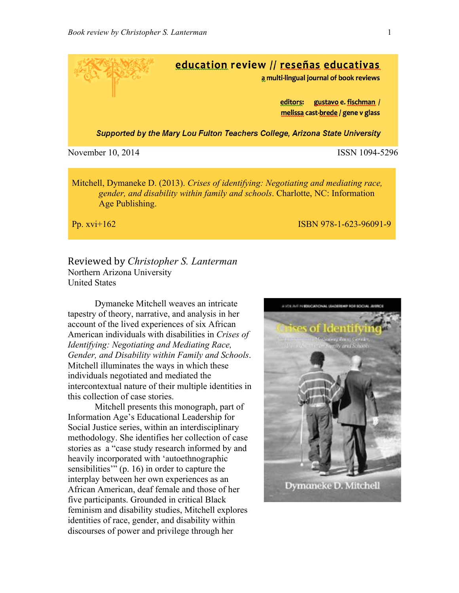

Mitchell, Dymaneke D. (2013). *Crises of identifying: Negotiating and mediating race, gender, and disability within family and schools*. Charlotte, NC: Information Age Publishing.

**Pp. xvi+162** ISBN 978-1-623-96091-9

Reviewed by *Christopher S. Lanterman* Northern Arizona University United States

Dymaneke Mitchell weaves an intricate tapestry of theory, narrative, and analysis in her account of the lived experiences of six African American individuals with disabilities in *Crises of Identifying: Negotiating and Mediating Race, Gender, and Disability within Family and Schools*. Mitchell illuminates the ways in which these individuals negotiated and mediated the intercontextual nature of their multiple identities in this collection of case stories.

Mitchell presents this monograph, part of Information Age's Educational Leadership for Social Justice series, within an interdisciplinary methodology. She identifies her collection of case stories as a "case study research informed by and heavily incorporated with 'autoethnographic sensibilities'" (p. 16) in order to capture the interplay between her own experiences as an African American, deaf female and those of her five participants. Grounded in critical Black feminism and disability studies, Mitchell explores identities of race, gender, and disability within discourses of power and privilege through her

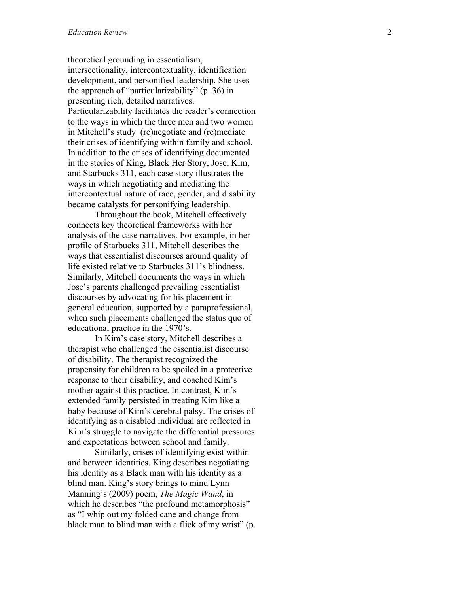theoretical grounding in essentialism, intersectionality, intercontextuality, identification development, and personified leadership. She uses the approach of "particularizability" (p . 36) in presenting rich, detailed narratives. Particularizability facilitates the reader's connection to the ways in which the three men and two women in Mitchell's study (re)negotiate and (re)mediate their crises of identifying within family and school. In addition to the crises of identifying documented in the stories of King, Black Her Story, Jose, Kim, and Starbucks 311, each case story illustrates the ways in which negotiating and mediating the intercontextual nature of race, gender, and disability became catalysts for personifying leadership.

Throughout the book, Mitchell effectively connects key theoretical frameworks with her analysis of the case narratives. For example, in her profile of Starbucks 311, Mitchell describes the ways that essentialist discourses around quality of life existed relative to Starbucks 311's blindness. Similarly, Mitchell documents the ways in which Jose's parents challenged prevailing essentialist discourses by advocating for his placement in general education, supported by a paraprofessional, when such placements challenged the status quo of educational practice in the 1970's.

In Kim's case story, Mitchell describes a therapist who challenged the essentialist discourse of disability. The therapist recognized the propensity for children to be spoiled in a protective response to their disability, and coached Kim's mother against this practice. In contrast, Kim's extended family persisted in treating Kim like a baby because of Kim's cerebral palsy. The crises of identifying as a disabled individual are reflected in Kim's struggle to navigate the differential pressures and expectations between school and family.

Similarly, crises of identifying exist within and between identities. King describes negotiating his identity as a Black man with his identity as a blind man. King's story brings to mind Lynn Manning's (2009) poem, *The Magic Wand*, in which he describes "the profound metamorphosis" as "I whip out my folded cane and change from black man to blind man with a flick of my wrist" (p.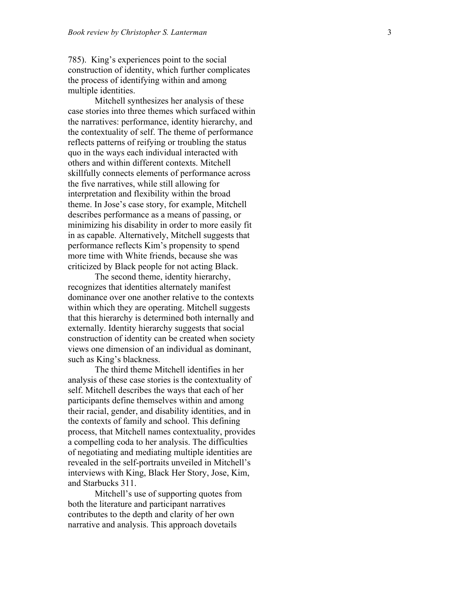785). King's experiences point to the social construction of identity, which further complicates the process of identifying within and among multiple identities.

Mitchell synthesizes her analysis of these case stories into three themes which surfaced within the narratives: performance, identity hierarchy, and the contextuality of self. The theme of performance reflects patterns of reifying or troubling the status quo in the ways each individual interacted with others and within different contexts. Mitchell skillfully connects elements of performance across the five narratives, while still allowing for interpretation and flexibility within the broad theme. In Jose's case story, for example, Mitchell describes performance as a means of passing, or minimizing his disability in order to more easily fit in as capable. Alternatively, Mitchell suggests that performance reflects Kim's propensity to spend more time with White friends, because she was criticized by Black people for not acting Black.

The second theme, identity hierarchy, recognizes that identities alternately manifest dominance over one another relative to the contexts within which they are operating. Mitchell suggests that this hierarchy is determined both internally and externally. Identity hierarchy suggests that social construction of identity can be created when society views one dimension of an individual as dominant, such as King's blackness.

The third theme Mitchell identifies in her analysis of these case stories is the contextuality of self. Mitchell describes the ways that each of her participants define themselves within and among their racial, gender, and disability identities, and in the contexts of family and school. This defining process, that Mitchell names contextuality, provides a compelling coda to her analysis. The difficulties of negotiating and mediating multiple identities are revealed in the self-portraits unveiled in Mitchell's interviews with King, Black Her Story, Jose, Kim, and Starbucks 311.

Mitchell's use of supporting quotes from both the literature and participant narratives contributes to the depth and clarity of her own narrative and analysis. This approach dovetails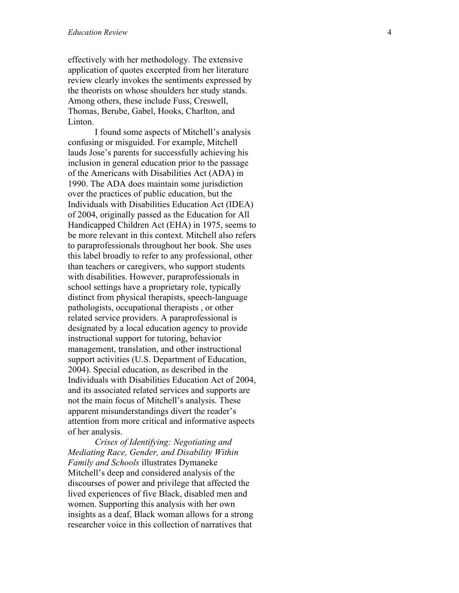effectively with her methodology. The extensive application of quotes excerpted from her literature review clearly invokes the sentiments expressed by the theorists on whose shoulders her study stands. Among others, these include Fuss, Creswell, Thomas, Berube, Gabel, Hooks, Charlton, and Linton.

I found some aspects of Mitchell's analysis confusing or misguided. For example, Mitchell lauds Jose's parents for successfully achieving his inclusion in general education prior to the passage of the Americans with Disabilities Act (ADA) in 1990. The ADA does maintain some jurisdiction over the practices of public education, but the Individuals with Disabilities Education Act (IDEA) of 2004, originally passed as the Education for All Handicapped Children Act (EHA) in 1975, seems to be more relevant in this context. Mitchell also refers to paraprofessionals throughout her book. She uses this label broadly to refer to any professional, other than teachers or caregivers, who support students with disabilities. However, paraprofessionals in school settings have a proprietary role, typically distinct from physical therapists, speech -language pathologists, occupational therapists , or other related service providers. A paraprofessional is designated by a local education agency to provide instructional support for tutoring, behavior management, translation, and other instructional support activities (U.S. Department of Education, 2004). Special education, as described in the Individuals with Disabilities Education Act of 2004, and its associated related services and supports are not the main focus of Mitchell's analysis. These apparent misunderstandings divert the reader's attention from more critical and informative aspects of her analysis.

*Crises of Identifying: Negotiating and Mediating Race, Gender, and Disability Within Family and Schools* illustrates Dymaneke Mitchell's deep and considered analysis of the discourses of power and privilege that affected the lived experiences of five Black, disabled men and women. Supporting this analysis with her own insights as a deaf, Black woman allows for a strong researcher voice in this collection of narratives that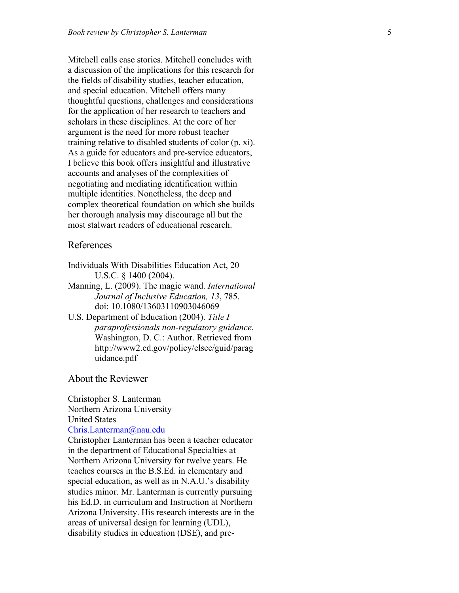Mitchell calls case stories. Mitchell concludes with a discussion of the implications for this research for the fields of disability studies, teacher education, and special education. Mitchell offers many thoughtful questions, challenges and considerations for the application of her research to teachers and scholars in these disciplines. At the core of her argument is the need for more robust teacher training relative to disabled students of color (p. xi). As a guide for educators and pre -service educators, I believe this book offers insightful and illustrative accounts and analyses of the complexities of negotiating and mediating identification within multiple identities. Nonetheless, the deep and complex theoretical foundation on which she builds her thorough analysis may discourage all but the most stalwart readers of educational research.

## References

- Individuals With Disabilities Education Act, 20 U.S.C. § 1400 (2004).
- Manning, L. (2009). The magic wand. *International Journal of Inclusive Education, 13*, 785. doi: 10.1080/13603110903046069
- U.S. Department of Education (2004). *Title I paraprofessionals non -regulatory guidance.* Washington, D. C.: Author. Retrieved from http://www2.ed.gov/policy/elsec/guid/parag uidance.pdf

## About the Reviewer

Christopher S. Lanterman Northern Arizona University United States

## Chris.Lanterman@nau.edu

Christopher Lanterman has been a teacher educator in the department of Educational Specialties at Northern Arizona University for twelve years. He teaches courses in the B.S.Ed. in elementary and special education, as well as in N.A.U.'s disability studies minor. Mr. Lanterman is currently pursuing his Ed.D. in curriculum and Instruction at Northern Arizona University. His research interests are in the areas of universal design for learning (UDL), disability studies in education (DSE), and pre -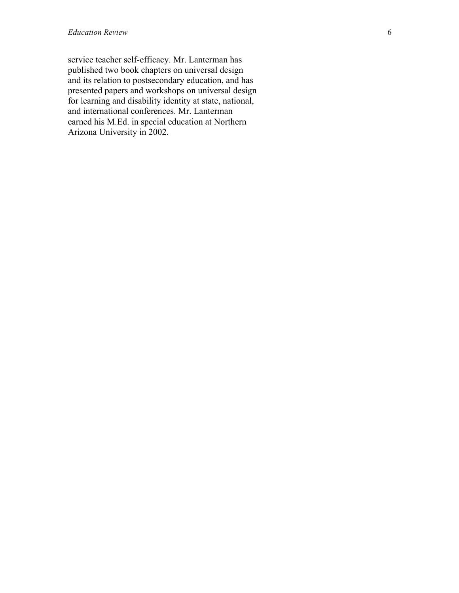service teacher self-efficacy. Mr. Lanterman has published two book chapters on universal design and its relation to postsecondary education, and has presented papers and workshops on universal design for learning and disability identity at state, national, and international conferences. Mr. Lanterman earned his M.Ed. in special education at Northern Arizona University in 2002.